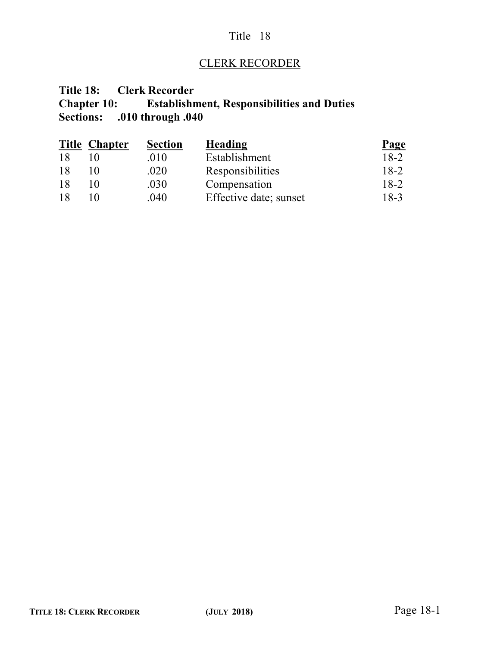### Title 18

## CLERK RECORDER

# **Title 18: Clerk Recorder Chapter 10: Establishment, Responsibilities and Duties Sections: .010 through .040**

|    | <b>Title Chapter</b> | <b>Section</b> | Heading                | Page   |
|----|----------------------|----------------|------------------------|--------|
| 18 |                      | .010           | Establishment          | $18-2$ |
| 18 |                      | .020           | Responsibilities       | $18-2$ |
| 18 |                      | .030           | Compensation           | $18-2$ |
| 18 |                      | .040           | Effective date; sunset | $18-3$ |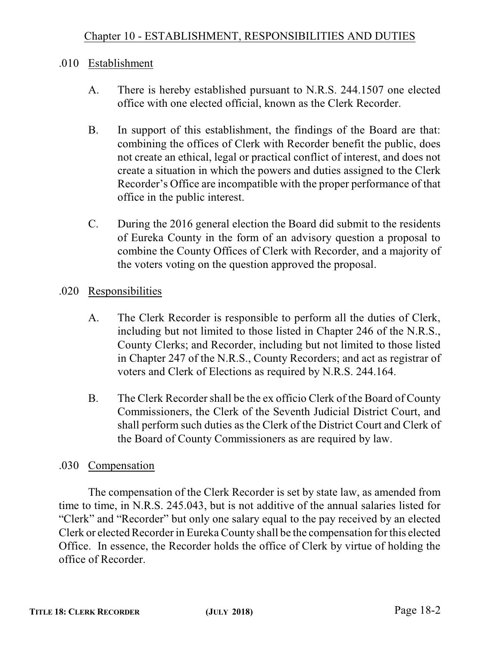## .010 Establishment

- A. There is hereby established pursuant to N.R.S. 244.1507 one elected office with one elected official, known as the Clerk Recorder.
- B. In support of this establishment, the findings of the Board are that: combining the offices of Clerk with Recorder benefit the public, does not create an ethical, legal or practical conflict of interest, and does not create a situation in which the powers and duties assigned to the Clerk Recorder's Office are incompatible with the proper performance of that office in the public interest.
- C. During the 2016 general election the Board did submit to the residents of Eureka County in the form of an advisory question a proposal to combine the County Offices of Clerk with Recorder, and a majority of the voters voting on the question approved the proposal.

# .020 Responsibilities

- A. The Clerk Recorder is responsible to perform all the duties of Clerk, including but not limited to those listed in Chapter 246 of the N.R.S., County Clerks; and Recorder, including but not limited to those listed in Chapter 247 of the N.R.S., County Recorders; and act as registrar of voters and Clerk of Elections as required by N.R.S. 244.164.
- B. The Clerk Recorder shall be the ex officio Clerk of the Board of County Commissioners, the Clerk of the Seventh Judicial District Court, and shall perform such duties as the Clerk of the District Court and Clerk of the Board of County Commissioners as are required by law.

## .030 Compensation

The compensation of the Clerk Recorder is set by state law, as amended from time to time, in N.R.S. 245.043, but is not additive of the annual salaries listed for "Clerk" and "Recorder" but only one salary equal to the pay received by an elected Clerk or elected Recorder in Eureka County shall be the compensation for this elected Office. In essence, the Recorder holds the office of Clerk by virtue of holding the office of Recorder.